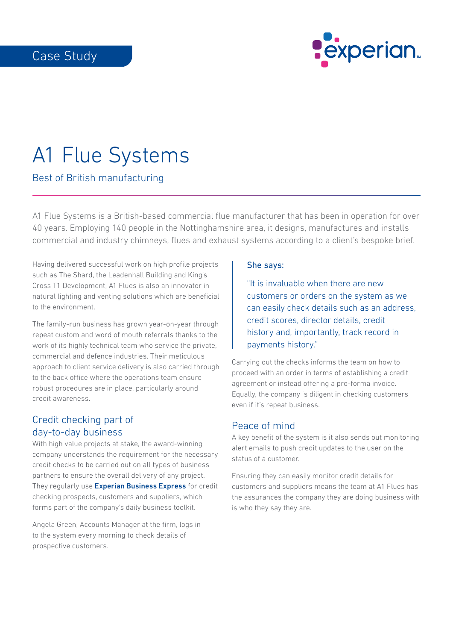

# A1 Flue Systems

Best of British manufacturing

A1 Flue Systems is a British-based commercial flue manufacturer that has been in operation for over 40 years. Employing 140 people in the Nottinghamshire area, it designs, manufactures and installs commercial and industry chimneys, flues and exhaust systems according to a client's bespoke brief.

Having delivered successful work on high profile projects such as The Shard, the Leadenhall Building and King's Cross T1 Development, A1 Flues is also an innovator in natural lighting and venting solutions which are beneficial to the environment.

The family-run business has grown year-on-year through repeat custom and word of mouth referrals thanks to the work of its highly technical team who service the private, commercial and defence industries. Their meticulous approach to client service delivery is also carried through to the back office where the operations team ensure robust procedures are in place, particularly around credit awareness.

#### Credit checking part of day-to-day business

With high value projects at stake, the award-winning company understands the requirement for the necessary credit checks to be carried out on all types of business partners to ensure the overall delivery of any project. They regularly use **[Experian Business Express](https://www.experian.co.uk/business-express/credit-report/company-credit-check/)** for credit checking prospects, customers and suppliers, which forms part of the company's daily business toolkit.

Angela Green, Accounts Manager at the firm, logs in to the system every morning to check details of prospective customers.

#### She says:

"It is invaluable when there are new customers or orders on the system as we can easily check details such as an address, credit scores, director details, credit history and, importantly, track record in payments history."

Carrying out the checks informs the team on how to proceed with an order in terms of establishing a credit agreement or instead offering a pro-forma invoice. Equally, the company is diligent in checking customers even if it's repeat business.

## Peace of mind

A key benefit of the system is it also sends out monitoring alert emails to push credit updates to the user on the status of a customer.

Ensuring they can easily monitor credit details for customers and suppliers means the team at A1 Flues has the assurances the company they are doing business with is who they say they are.